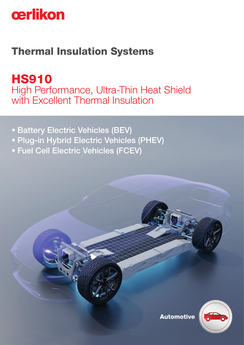

## Thermal Insulation Systems

**HS910** High Performance, Ultra-Thin Heat Shield with Excellent Thermal Insulation

- **Battery Electric Vehicles (BEV)**
- **Plug-in Hybrid Electric Vehicles (PHEV)**
- Fuel Cell Electric Vehicles (FCEV)